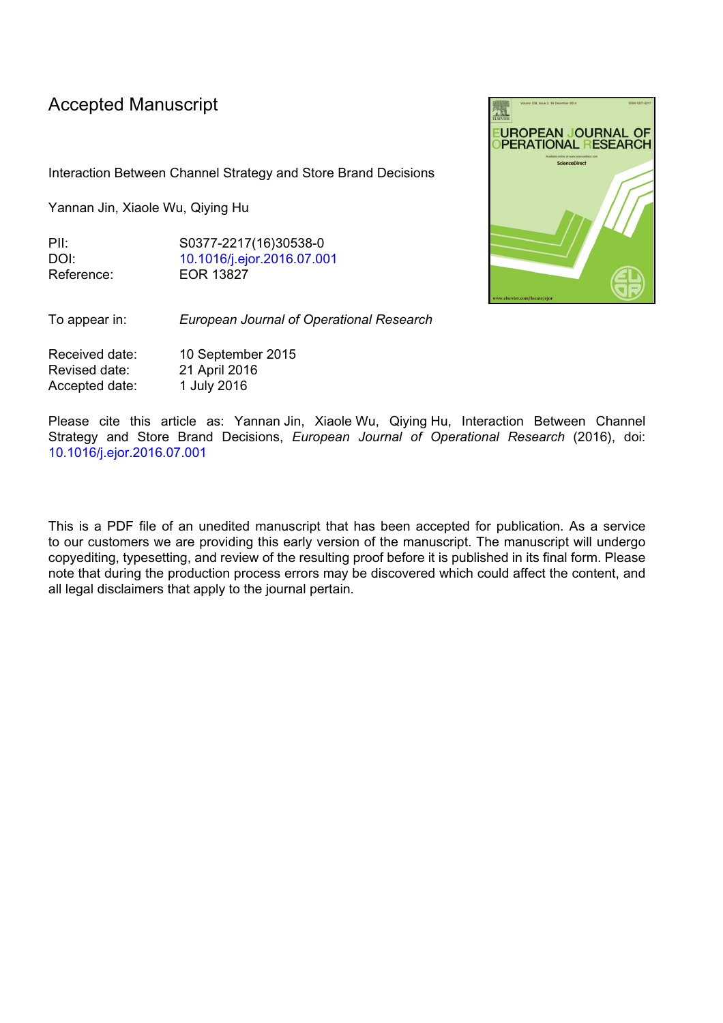## Accepted Manuscript

Interaction Between Channel Strategy and Store Brand Decisions

Yannan Jin, Xiaole Wu, Qiying Hu

PII: S0377-2217(16)30538-0 DOI: [10.1016/j.ejor.2016.07.001](http://dx.doi.org/10.1016/j.ejor.2016.07.001) Reference: EOR 13827

To appear in: *European Journal of Operational Research*

Received date: 10 September 2015 Revised date: 21 April 2016 Accepted date: 1 July 2016

Please cite this article as: Yannan Jin, Xiaole Wu, Qiying Hu, Interaction Between Channel Strategy and Store Brand Decisions, *European Journal of Operational Research* (2016), doi: [10.1016/j.ejor.2016.07.001](http://dx.doi.org/10.1016/j.ejor.2016.07.001)

This is a PDF file of an unedited manuscript that has been accepted for publication. As a service to our customers we are providing this early version of the manuscript. The manuscript will undergo copyediting, typesetting, and review of the resulting proof before it is published in its final form. Please note that during the production process errors may be discovered which could affect the content, and all legal disclaimers that apply to the journal pertain.

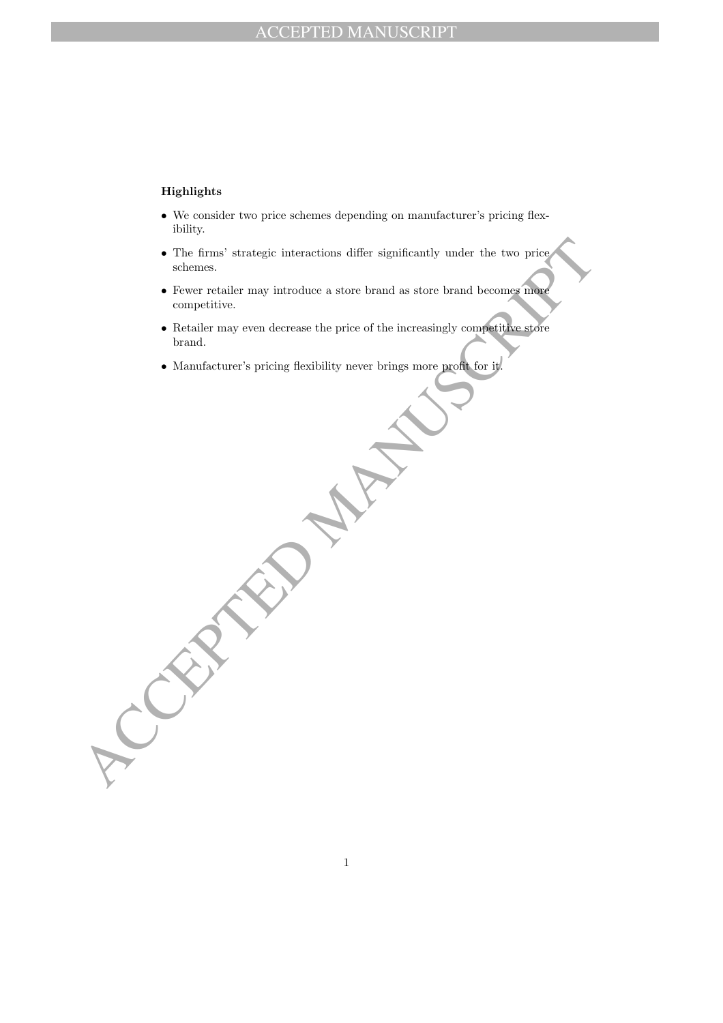## Highlights

- We consider two price schemes depending on manufacturer's pricing flexibility.
- The firms' strategic interactions diller significantly under the two prices<br>whenever tetaller may introduce a starre brand as store brand becomes unique<br>competitive.<br>Realting may even decrease the price of the increasing • The firms' strategic interactions differ significantly under the two price schemes.
	- Fewer retailer may introduce a store brand as store brand becomes more competitive.
	- Retailer may even decrease the price of the increasingly competitive store brand.
	- Manufacturer's pricing flexibility never brings more profit for it.

1